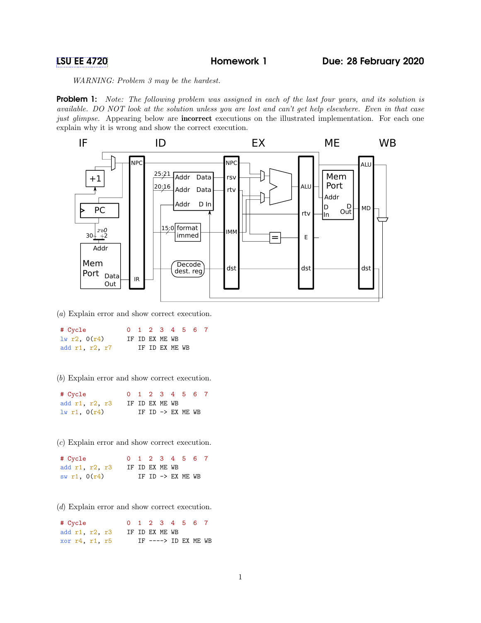WARNING: Problem 3 may be the hardest.

**Problem 1:** Note: The following problem was assigned in each of the last four years, and its solution is available. DO NOT look at the solution unless you are lost and can't get help elsewhere. Even in that case just glimpse. Appearing below are **incorrect** executions on the illustrated implementation. For each one explain why it is wrong and show the correct execution.



(a) Explain error and show correct execution.

| # Cycle        |  |                | 0 1 2 3 4 5 6 7 |  |
|----------------|--|----------------|-----------------|--|
| 1w r2, 0(r4)   |  | IF ID EX ME WB |                 |  |
| add r1, r2, r7 |  | IF ID EX ME WB |                 |  |

(b) Explain error and show correct execution.

| # Cycle          |                |  |  | 0 1 2 3 4 5 6 7              |  |
|------------------|----------------|--|--|------------------------------|--|
| add r1, r2, r3   | IF ID EX ME WB |  |  |                              |  |
| $1w$ r1, $0(r4)$ |                |  |  | IF ID $\rightarrow$ EX ME WB |  |

(c) Explain error and show correct execution.

| # Cycle        |                |  |  | 0 1 2 3 4 5 6 7   |  |
|----------------|----------------|--|--|-------------------|--|
| add r1, r2, r3 | IF ID EX ME WB |  |  |                   |  |
| sw r1, $0(r4)$ |                |  |  | IF ID -> EX ME WB |  |

(d) Explain error and show correct execution.

| # Cycle        |  | 0 1 2 3 4 5 6 7                |  |  |
|----------------|--|--------------------------------|--|--|
| add r1, r2, r3 |  | IF ID EX ME WB                 |  |  |
| xor r4, r1, r5 |  | $IF$ ----> $ID$ $EX$ $ME$ $WB$ |  |  |